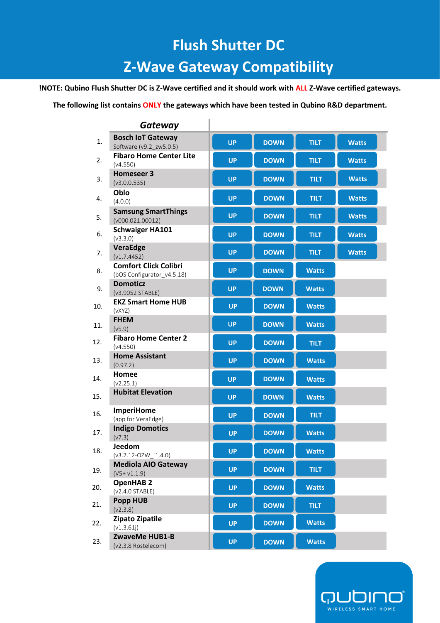## **Flush Shutter DC**

## **Z-Wave Gateway Compatibility**

**!NOTE: Qubino Flush Shutter DC is Z-Wave certified and it should work with ALL Z-Wave certified gateways.** 

## **The following list contains ONLY the gateways which have been tested in Qubino R&D department.**

|     | Gateway                                                    |           |             |              |              |
|-----|------------------------------------------------------------|-----------|-------------|--------------|--------------|
| 1.  | <b>Bosch IoT Gateway</b><br>Software (v9.2 zw5.0.5)        | <b>UP</b> | <b>DOWN</b> | <b>TILT</b>  | <b>Watts</b> |
| 2.  | <b>Fibaro Home Center Lite</b><br>(v4.550)                 | <b>UP</b> | <b>DOWN</b> | <b>TILT</b>  | <b>Watts</b> |
| 3.  | <b>Homeseer 3</b><br>(v3.0.0.535)                          | <b>UP</b> | <b>DOWN</b> | <b>TILT</b>  | <b>Watts</b> |
| 4.  | Oblo<br>(4.0.0)                                            | <b>UP</b> | <b>DOWN</b> | <b>TILT</b>  | <b>Watts</b> |
| 5.  | <b>Samsung SmartThings</b><br>(v000.021.00012)             | <b>UP</b> | <b>DOWN</b> | <b>TILT</b>  | <b>Watts</b> |
| 6.  | <b>Schwaiger HA101</b><br>(v3.3.0)                         | <b>UP</b> | <b>DOWN</b> | <b>TILT</b>  | <b>Watts</b> |
| 7.  | VeraEdge<br>(v1.7.4452)                                    | <b>UP</b> | <b>DOWN</b> | <b>TILT</b>  | <b>Watts</b> |
| 8.  | <b>Comfort Click Colibri</b><br>(bOS Configurator v4.5.18) | <b>UP</b> | <b>DOWN</b> | <b>Watts</b> |              |
| 9.  | <b>Domoticz</b><br>(v3.9052 STABLE)                        | <b>UP</b> | <b>DOWN</b> | <b>Watts</b> |              |
| 10. | <b>EKZ Smart Home HUB</b><br>(vXYZ)                        | <b>UP</b> | <b>DOWN</b> | <b>Watts</b> |              |
| 11. | <b>FHEM</b><br>(v5.9)                                      | <b>UP</b> | <b>DOWN</b> | <b>Watts</b> |              |
| 12. | <b>Fibaro Home Center 2</b><br>(v4.550)                    | <b>UP</b> | <b>DOWN</b> | <b>TILT</b>  |              |
| 13. | <b>Home Assistant</b><br>(0.97.2)                          | <b>UP</b> | <b>DOWN</b> | <b>Watts</b> |              |
| 14. | Homee<br>(v2.25.1)                                         | <b>UP</b> | <b>DOWN</b> | <b>Watts</b> |              |
| 15. | <b>Hubitat Elevation</b>                                   | <b>UP</b> | <b>DOWN</b> | <b>Watts</b> |              |
| 16. | <b>ImperiHome</b><br>(app for VeraEdge)                    | <b>UP</b> | <b>DOWN</b> | <b>TILT</b>  |              |
| 17. | <b>Indigo Domotics</b><br>(v7.3)                           | <b>UP</b> | <b>DOWN</b> | <b>Watts</b> |              |
| 18. | Jeedom<br>$(v3.2.12-OZW_1.4.0)$                            | <b>UP</b> | <b>DOWN</b> | <b>Watts</b> |              |
| 19. | <b>Mediola AIO Gateway</b><br>$(V5 + v1.1.9)$              | <b>UP</b> | <b>DOWN</b> | <b>TILT</b>  |              |
| 20. | <b>OpenHAB 2</b><br>(v2.4.0 STABLE)                        | <b>UP</b> | <b>DOWN</b> | <b>Watts</b> |              |
| 21. | <b>Popp HUB</b><br>(v2.3.8)                                | <b>UP</b> | <b>DOWN</b> | <b>TILT</b>  |              |
| 22. | <b>Zipato Zipatile</b><br>(v1.3.61j)                       | <b>UP</b> | <b>DOWN</b> | <b>Watts</b> |              |
| 23. | ZwaveMe HUB1-B<br>(v2.3.8 Rostelecom)                      | <b>UP</b> | <b>DOWN</b> | <b>Watts</b> |              |